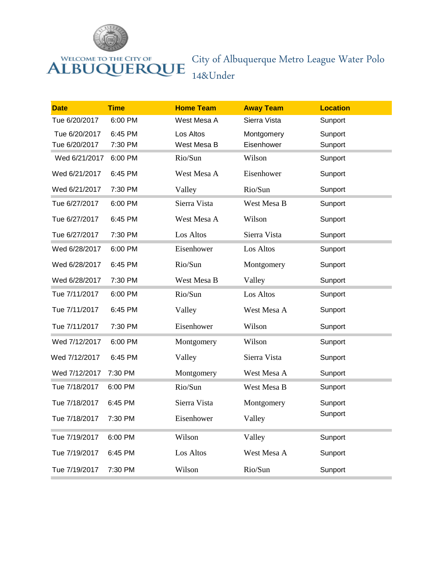

## ALBUQUERQUE

## City of Albuquerque Metro League Water Polo 14&Under

| <b>Date</b>   | <b>Time</b> | <b>Home Team</b> | <b>Away Team</b> | <b>Location</b> |
|---------------|-------------|------------------|------------------|-----------------|
| Tue 6/20/2017 | 6:00 PM     | West Mesa A      | Sierra Vista     | Sunport         |
| Tue 6/20/2017 | 6:45 PM     | Los Altos        | Montgomery       | Sunport         |
| Tue 6/20/2017 | 7:30 PM     | West Mesa B      | Eisenhower       | Sunport         |
| Wed 6/21/2017 | 6:00 PM     | Rio/Sun          | Wilson           | Sunport         |
| Wed 6/21/2017 | 6:45 PM     | West Mesa A      | Eisenhower       | Sunport         |
| Wed 6/21/2017 | 7:30 PM     | Valley           | Rio/Sun          | Sunport         |
| Tue 6/27/2017 | 6:00 PM     | Sierra Vista     | West Mesa B      | Sunport         |
| Tue 6/27/2017 | 6:45 PM     | West Mesa A      | Wilson           | Sunport         |
| Tue 6/27/2017 | 7:30 PM     | Los Altos        | Sierra Vista     | Sunport         |
| Wed 6/28/2017 | 6:00 PM     | Eisenhower       | Los Altos        | Sunport         |
| Wed 6/28/2017 | 6:45 PM     | Rio/Sun          | Montgomery       | Sunport         |
| Wed 6/28/2017 | 7:30 PM     | West Mesa B      | Valley           | Sunport         |
| Tue 7/11/2017 | 6:00 PM     | Rio/Sun          | Los Altos        | Sunport         |
| Tue 7/11/2017 | 6:45 PM     | Valley           | West Mesa A      | Sunport         |
| Tue 7/11/2017 | 7:30 PM     | Eisenhower       | Wilson           | Sunport         |
| Wed 7/12/2017 | 6:00 PM     | Montgomery       | Wilson           | Sunport         |
| Wed 7/12/2017 | 6:45 PM     | Valley           | Sierra Vista     | Sunport         |
| Wed 7/12/2017 | 7:30 PM     | Montgomery       | West Mesa A      | Sunport         |
| Tue 7/18/2017 | 6:00 PM     | Rio/Sun          | West Mesa B      | Sunport         |
| Tue 7/18/2017 | 6:45 PM     | Sierra Vista     | Montgomery       | Sunport         |
| Tue 7/18/2017 | 7:30 PM     | Eisenhower       | Valley           | Sunport         |
| Tue 7/19/2017 | 6:00 PM     | Wilson           | Valley           | Sunport         |
| Tue 7/19/2017 | 6:45 PM     | Los Altos        | West Mesa A      | Sunport         |
| Tue 7/19/2017 | 7:30 PM     | Wilson           | Rio/Sun          | Sunport         |